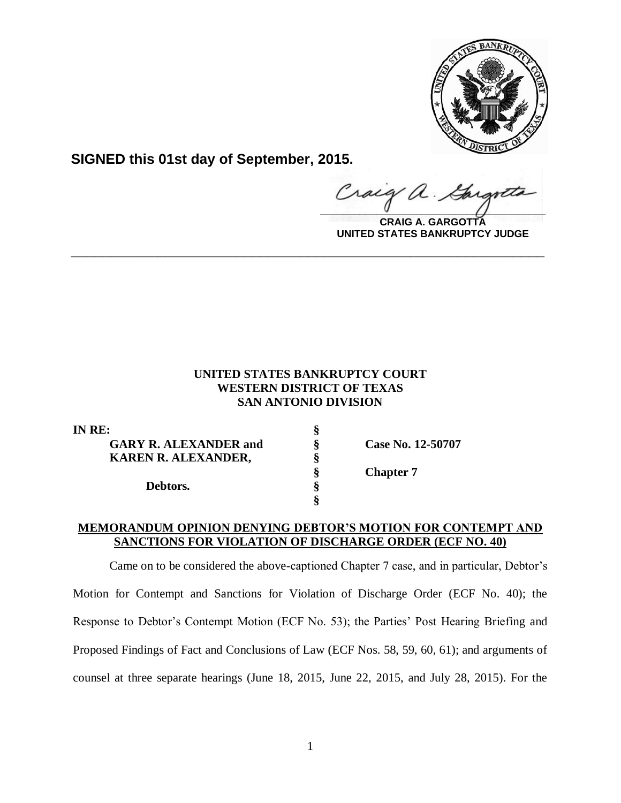

**SIGNED this 01st day of September, 2015.**

**\_\_\_\_\_\_\_\_\_\_\_\_\_\_\_\_\_\_\_\_\_\_\_\_\_\_\_\_\_\_\_\_\_\_\_\_\_\_\_\_**  $\alpha$ .

**CRAIG A. GARGOTTA UNITED STATES BANKRUPTCY JUDGE**

# **UNITED STATES BANKRUPTCY COURT WESTERN DISTRICT OF TEXAS SAN ANTONIO DIVISION**

**\_\_\_\_\_\_\_\_\_\_\_\_\_\_\_\_\_\_\_\_\_\_\_\_\_\_\_\_\_\_\_\_\_\_\_\_\_\_\_\_\_\_\_\_\_\_\_\_\_\_\_\_\_\_\_\_\_\_\_\_**

| IN RE:                       |                   |
|------------------------------|-------------------|
| <b>GARY R. ALEXANDER and</b> | Case No. 12-50707 |
| <b>KAREN R. ALEXANDER,</b>   |                   |
|                              | <b>Chapter 7</b>  |
| Debtors.                     |                   |
|                              |                   |

### **MEMORANDUM OPINION DENYING DEBTOR'S MOTION FOR CONTEMPT AND SANCTIONS FOR VIOLATION OF DISCHARGE ORDER (ECF NO. 40)**

Came on to be considered the above-captioned Chapter 7 case, and in particular, Debtor's Motion for Contempt and Sanctions for Violation of Discharge Order (ECF No. 40); the Response to Debtor's Contempt Motion (ECF No. 53); the Parties' Post Hearing Briefing and Proposed Findings of Fact and Conclusions of Law (ECF Nos. 58, 59, 60, 61); and arguments of counsel at three separate hearings (June 18, 2015, June 22, 2015, and July 28, 2015). For the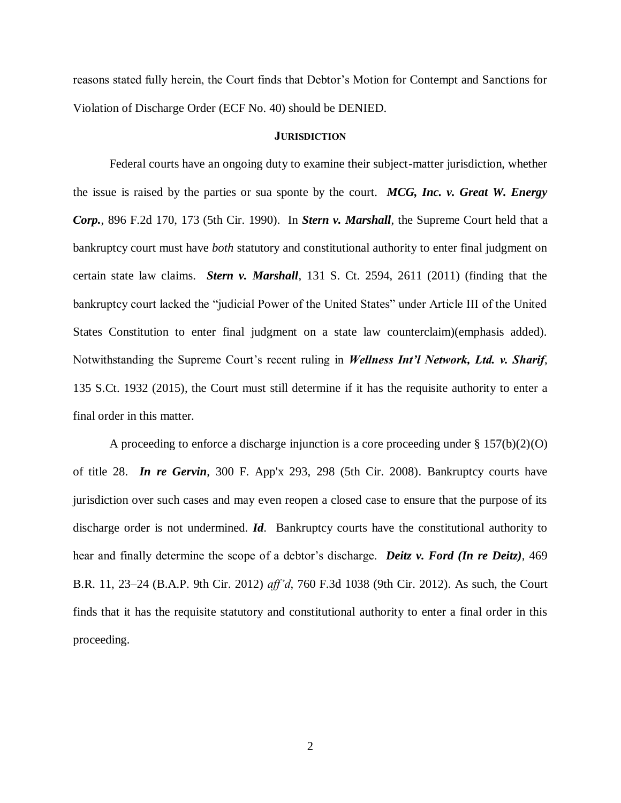reasons stated fully herein, the Court finds that Debtor's Motion for Contempt and Sanctions for Violation of Discharge Order (ECF No. 40) should be DENIED.

#### **JURISDICTION**

Federal courts have an ongoing duty to examine their subject-matter jurisdiction, whether the issue is raised by the parties or sua sponte by the court. *MCG, Inc. v. Great W. Energy Corp.*, 896 F.2d 170, 173 (5th Cir. 1990). In *Stern v. Marshall*, the Supreme Court held that a bankruptcy court must have *both* statutory and constitutional authority to enter final judgment on certain state law claims. *Stern v. Marshall*, 131 S. Ct. 2594, 2611 (2011) (finding that the bankruptcy court lacked the "judicial Power of the United States" under Article III of the United States Constitution to enter final judgment on a state law counterclaim)(emphasis added). Notwithstanding the Supreme Court's recent ruling in *Wellness Int'l Network, Ltd. v. Sharif*, 135 S.Ct. 1932 (2015), the Court must still determine if it has the requisite authority to enter a final order in this matter.

A proceeding to enforce a discharge injunction is a core proceeding under  $\S 157(b)(2)(O)$ of title 28. *In re Gervin*, 300 F. App'x 293, 298 (5th Cir. 2008). Bankruptcy courts have jurisdiction over such cases and may even reopen a closed case to ensure that the purpose of its discharge order is not undermined. *Id*. Bankruptcy courts have the constitutional authority to hear and finally determine the scope of a debtor's discharge. *Deitz v. Ford (In re Deitz)*, 469 B.R. 11, 23–24 (B.A.P. 9th Cir. 2012) *aff'd*, 760 F.3d 1038 (9th Cir. 2012). As such, the Court finds that it has the requisite statutory and constitutional authority to enter a final order in this proceeding.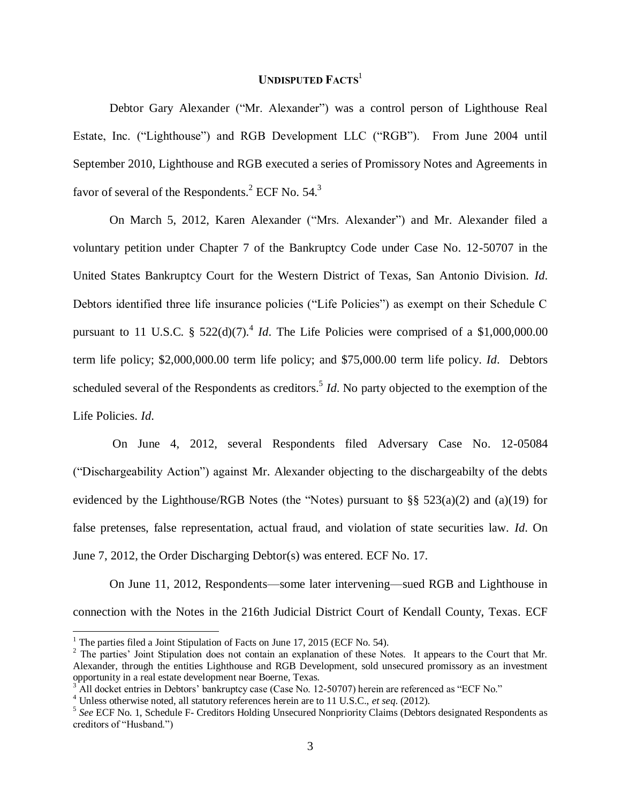## **UNDISPUTED FACTS**<sup>1</sup>

Debtor Gary Alexander ("Mr. Alexander") was a control person of Lighthouse Real Estate, Inc. ("Lighthouse") and RGB Development LLC ("RGB"). From June 2004 until September 2010, Lighthouse and RGB executed a series of Promissory Notes and Agreements in favor of several of the Respondents.<sup>2</sup> ECF No. 54.<sup>3</sup>

On March 5, 2012, Karen Alexander ("Mrs. Alexander") and Mr. Alexander filed a voluntary petition under Chapter 7 of the Bankruptcy Code under Case No. 12-50707 in the United States Bankruptcy Court for the Western District of Texas, San Antonio Division. *Id*. Debtors identified three life insurance policies ("Life Policies") as exempt on their Schedule C pursuant to 11 U.S.C.  $\S$  522(d)(7).<sup>4</sup> *Id*. The Life Policies were comprised of a \$1,000,000.00 term life policy; \$2,000,000.00 term life policy; and \$75,000.00 term life policy. *Id*. Debtors scheduled several of the Respondents as creditors.<sup>5</sup> *Id*. No party objected to the exemption of the Life Policies. *Id*.

On June 4, 2012, several Respondents filed Adversary Case No. 12-05084 ("Dischargeability Action") against Mr. Alexander objecting to the dischargeabilty of the debts evidenced by the Lighthouse/RGB Notes (the "Notes) pursuant to  $\S$ § 523(a)(2) and (a)(19) for false pretenses, false representation, actual fraud, and violation of state securities law. *Id*. On June 7, 2012, the Order Discharging Debtor(s) was entered. ECF No. 17.

On June 11, 2012, Respondents—some later intervening—sued RGB and Lighthouse in connection with the Notes in the 216th Judicial District Court of Kendall County, Texas. ECF

 $\overline{a}$ 

<sup>&</sup>lt;sup>1</sup> The parties filed a Joint Stipulation of Facts on June 17, 2015 (ECF No. 54).

<sup>&</sup>lt;sup>2</sup> The parties' Joint Stipulation does not contain an explanation of these Notes. It appears to the Court that Mr. Alexander, through the entities Lighthouse and RGB Development, sold unsecured promissory as an investment opportunity in a real estate development near Boerne, Texas.

<sup>&</sup>lt;sup>3</sup> All docket entries in Debtors' bankruptcy case (Case No. 12-50707) herein are referenced as "ECF No."

<sup>4</sup> Unless otherwise noted, all statutory references herein are to 11 U.S.C., *et seq*. (2012).

<sup>5</sup> *See* ECF No. 1, Schedule F- Creditors Holding Unsecured Nonpriority Claims (Debtors designated Respondents as creditors of "Husband.")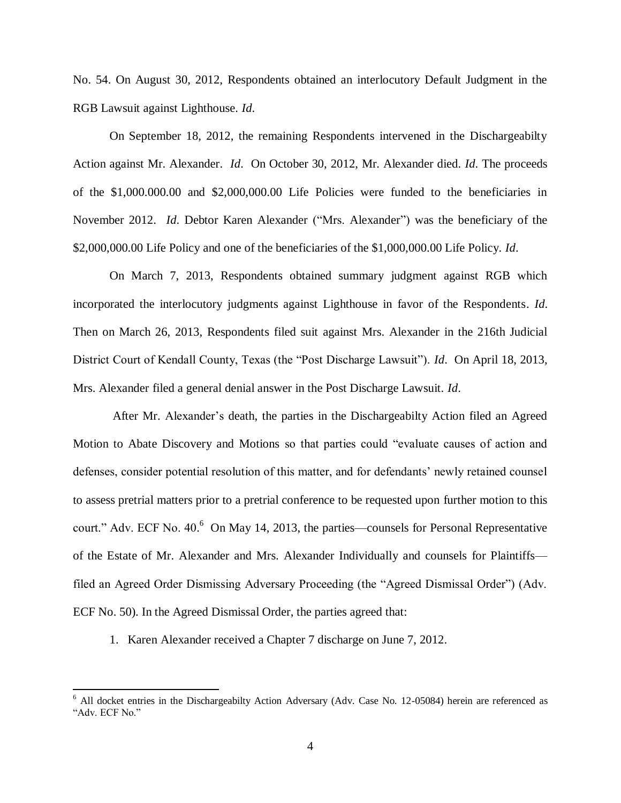No. 54. On August 30, 2012, Respondents obtained an interlocutory Default Judgment in the RGB Lawsuit against Lighthouse. *Id*.

On September 18, 2012, the remaining Respondents intervened in the Dischargeabilty Action against Mr. Alexander. *Id*. On October 30, 2012, Mr. Alexander died. *Id*. The proceeds of the \$1,000.000.00 and \$2,000,000.00 Life Policies were funded to the beneficiaries in November 2012. *Id*. Debtor Karen Alexander ("Mrs. Alexander") was the beneficiary of the \$2,000,000.00 Life Policy and one of the beneficiaries of the \$1,000,000.00 Life Policy. *Id*.

On March 7, 2013, Respondents obtained summary judgment against RGB which incorporated the interlocutory judgments against Lighthouse in favor of the Respondents. *Id*. Then on March 26, 2013, Respondents filed suit against Mrs. Alexander in the 216th Judicial District Court of Kendall County, Texas (the "Post Discharge Lawsuit"). *Id*. On April 18, 2013, Mrs. Alexander filed a general denial answer in the Post Discharge Lawsuit. *Id*.

After Mr. Alexander's death, the parties in the Dischargeabilty Action filed an Agreed Motion to Abate Discovery and Motions so that parties could "evaluate causes of action and defenses, consider potential resolution of this matter, and for defendants' newly retained counsel to assess pretrial matters prior to a pretrial conference to be requested upon further motion to this court." Adv. ECF No. 40.<sup>6</sup> On May 14, 2013, the parties—counsels for Personal Representative of the Estate of Mr. Alexander and Mrs. Alexander Individually and counsels for Plaintiffs filed an Agreed Order Dismissing Adversary Proceeding (the "Agreed Dismissal Order") (Adv. ECF No. 50). In the Agreed Dismissal Order, the parties agreed that:

1. Karen Alexander received a Chapter 7 discharge on June 7, 2012.

 $\overline{a}$ 

<sup>6</sup> All docket entries in the Dischargeabilty Action Adversary (Adv. Case No. 12-05084) herein are referenced as "Adv. ECF No."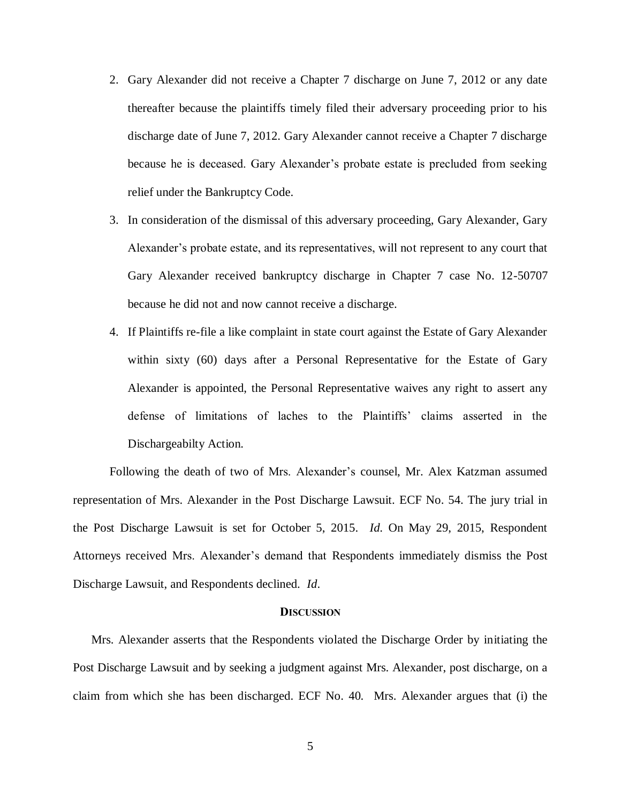- 2. Gary Alexander did not receive a Chapter 7 discharge on June 7, 2012 or any date thereafter because the plaintiffs timely filed their adversary proceeding prior to his discharge date of June 7, 2012. Gary Alexander cannot receive a Chapter 7 discharge because he is deceased. Gary Alexander's probate estate is precluded from seeking relief under the Bankruptcy Code.
- 3. In consideration of the dismissal of this adversary proceeding, Gary Alexander, Gary Alexander's probate estate, and its representatives, will not represent to any court that Gary Alexander received bankruptcy discharge in Chapter 7 case No. 12-50707 because he did not and now cannot receive a discharge.
- 4. If Plaintiffs re-file a like complaint in state court against the Estate of Gary Alexander within sixty (60) days after a Personal Representative for the Estate of Gary Alexander is appointed, the Personal Representative waives any right to assert any defense of limitations of laches to the Plaintiffs' claims asserted in the Dischargeabilty Action.

Following the death of two of Mrs. Alexander's counsel, Mr. Alex Katzman assumed representation of Mrs. Alexander in the Post Discharge Lawsuit. ECF No. 54. The jury trial in the Post Discharge Lawsuit is set for October 5, 2015. *Id*. On May 29, 2015, Respondent Attorneys received Mrs. Alexander's demand that Respondents immediately dismiss the Post Discharge Lawsuit, and Respondents declined. *Id*.

#### **DISCUSSION**

Mrs. Alexander asserts that the Respondents violated the Discharge Order by initiating the Post Discharge Lawsuit and by seeking a judgment against Mrs. Alexander, post discharge, on a claim from which she has been discharged. ECF No. 40. Mrs. Alexander argues that (i) the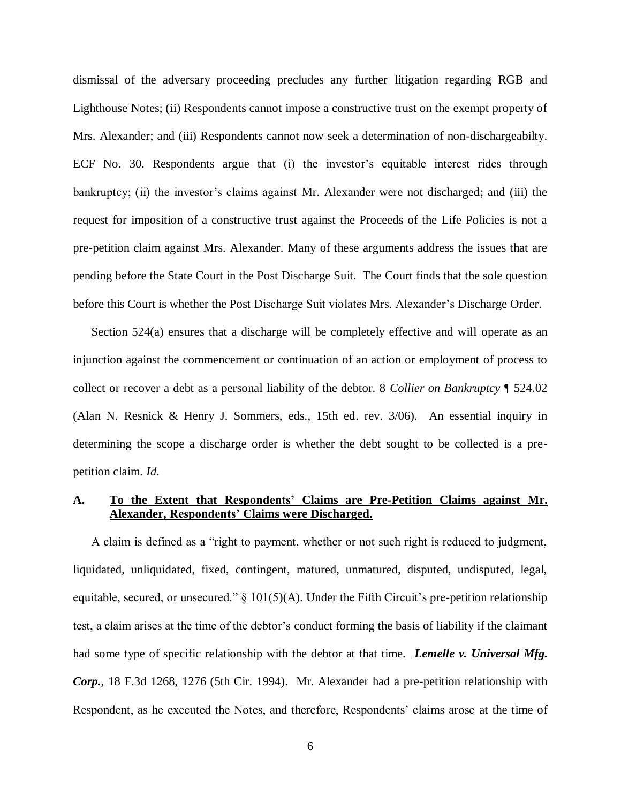dismissal of the adversary proceeding precludes any further litigation regarding RGB and Lighthouse Notes; (ii) Respondents cannot impose a constructive trust on the exempt property of Mrs. Alexander; and (iii) Respondents cannot now seek a determination of non-dischargeabilty. ECF No. 30. Respondents argue that (i) the investor's equitable interest rides through bankruptcy; (ii) the investor's claims against Mr. Alexander were not discharged; and (iii) the request for imposition of a constructive trust against the Proceeds of the Life Policies is not a pre-petition claim against Mrs. Alexander. Many of these arguments address the issues that are pending before the State Court in the Post Discharge Suit. The Court finds that the sole question before this Court is whether the Post Discharge Suit violates Mrs. Alexander's Discharge Order.

Section 524(a) ensures that a discharge will be completely effective and will operate as an injunction against the commencement or continuation of an action or employment of process to collect or recover a debt as a personal liability of the debtor. 8 *Collier on Bankruptcy* ¶ 524.02 (Alan N. Resnick & Henry J. Sommers, eds., 15th ed. rev. 3/06). An essential inquiry in determining the scope a discharge order is whether the debt sought to be collected is a prepetition claim. *Id*.

## **A. To the Extent that Respondents' Claims are Pre-Petition Claims against Mr. Alexander, Respondents' Claims were Discharged.**

A claim is defined as a "right to payment, whether or not such right is reduced to judgment, liquidated, unliquidated, fixed, contingent, matured, unmatured, disputed, undisputed, legal, equitable, secured, or unsecured."  $\S$  101(5)(A). Under the Fifth Circuit's pre-petition relationship test, a claim arises at the time of the debtor's conduct forming the basis of liability if the claimant had some type of specific relationship with the debtor at that time. *Lemelle v. Universal Mfg. Corp.*, 18 F.3d 1268, 1276 (5th Cir. 1994). Mr. Alexander had a pre-petition relationship with Respondent, as he executed the Notes, and therefore, Respondents' claims arose at the time of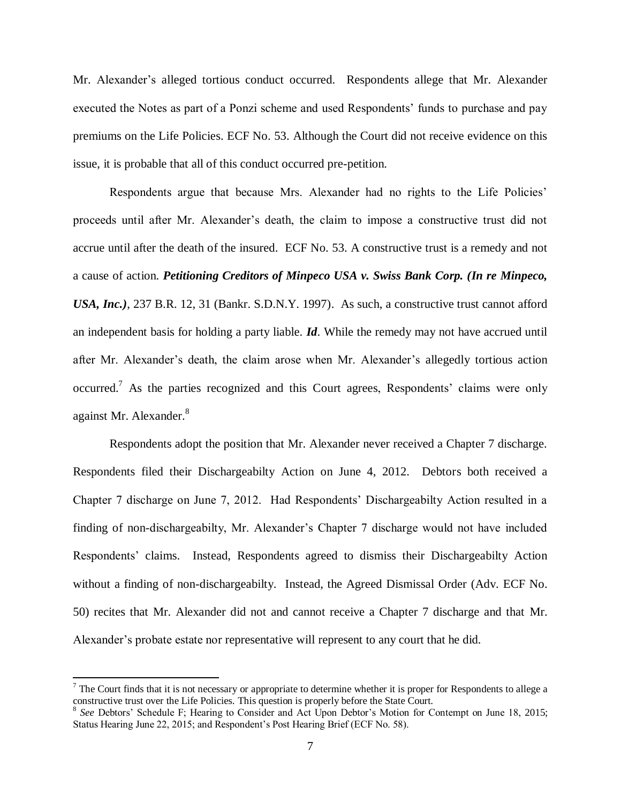Mr. Alexander's alleged tortious conduct occurred. Respondents allege that Mr. Alexander executed the Notes as part of a Ponzi scheme and used Respondents' funds to purchase and pay premiums on the Life Policies. ECF No. 53. Although the Court did not receive evidence on this issue, it is probable that all of this conduct occurred pre-petition.

Respondents argue that because Mrs. Alexander had no rights to the Life Policies' proceeds until after Mr. Alexander's death, the claim to impose a constructive trust did not accrue until after the death of the insured. ECF No. 53. A constructive trust is a remedy and not a cause of action. *Petitioning Creditors of Minpeco USA v. Swiss Bank Corp. (In re Minpeco, USA, Inc.)*, 237 B.R. 12, 31 (Bankr. S.D.N.Y. 1997). As such, a constructive trust cannot afford an independent basis for holding a party liable. *Id*. While the remedy may not have accrued until after Mr. Alexander's death, the claim arose when Mr. Alexander's allegedly tortious action occurred.<sup>7</sup> As the parties recognized and this Court agrees, Respondents' claims were only against Mr. Alexander.<sup>8</sup>

Respondents adopt the position that Mr. Alexander never received a Chapter 7 discharge. Respondents filed their Dischargeabilty Action on June 4, 2012. Debtors both received a Chapter 7 discharge on June 7, 2012. Had Respondents' Dischargeabilty Action resulted in a finding of non-dischargeabilty, Mr. Alexander's Chapter 7 discharge would not have included Respondents' claims. Instead, Respondents agreed to dismiss their Dischargeabilty Action without a finding of non-dischargeabilty. Instead, the Agreed Dismissal Order (Adv. ECF No. 50) recites that Mr. Alexander did not and cannot receive a Chapter 7 discharge and that Mr. Alexander's probate estate nor representative will represent to any court that he did.

 $\overline{\phantom{a}}$ 

<sup>&</sup>lt;sup>7</sup> The Court finds that it is not necessary or appropriate to determine whether it is proper for Respondents to allege a constructive trust over the Life Policies. This question is properly before the State Court. 8 *See* Debtors' Schedule F; Hearing to Consider and Act Upon Debtor's Motion for Contempt on June 18, 2015;

Status Hearing June 22, 2015; and Respondent's Post Hearing Brief (ECF No. 58).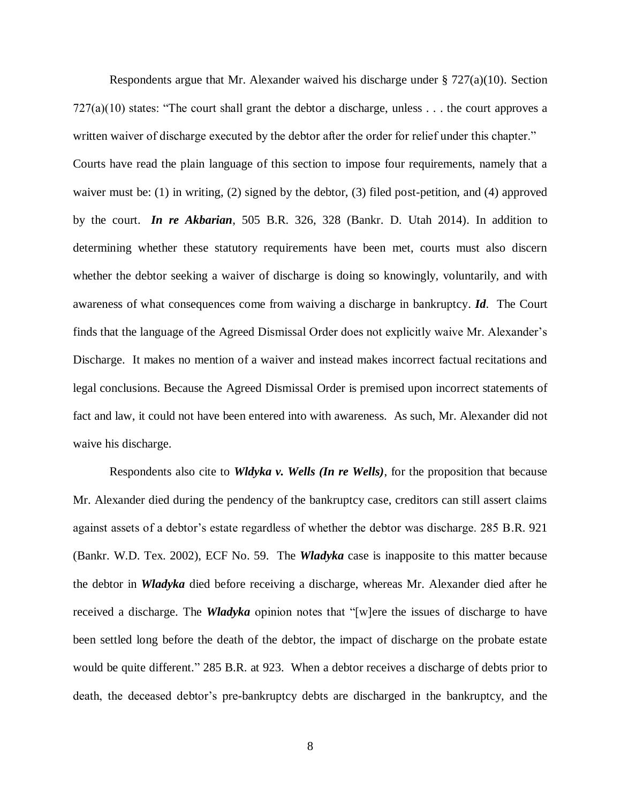Respondents argue that Mr. Alexander waived his discharge under  $\S 727(a)(10)$ . Section  $727(a)(10)$  states: "The court shall grant the debtor a discharge, unless . . . the court approves a written waiver of discharge executed by the debtor after the order for relief under this chapter." Courts have read the plain language of this section to impose four requirements, namely that a waiver must be: (1) in writing, (2) signed by the debtor, (3) filed post-petition, and (4) approved by the court. *In re Akbarian*, 505 B.R. 326, 328 (Bankr. D. Utah 2014). In addition to determining whether these statutory requirements have been met, courts must also discern whether the debtor seeking a waiver of discharge is doing so knowingly, voluntarily, and with awareness of what consequences come from waiving a discharge in bankruptcy. *Id*. The Court finds that the language of the Agreed Dismissal Order does not explicitly waive Mr. Alexander's Discharge. It makes no mention of a waiver and instead makes incorrect factual recitations and legal conclusions. Because the Agreed Dismissal Order is premised upon incorrect statements of fact and law, it could not have been entered into with awareness. As such, Mr. Alexander did not waive his discharge.

Respondents also cite to *Wldyka v. Wells (In re Wells)*, for the proposition that because Mr. Alexander died during the pendency of the bankruptcy case, creditors can still assert claims against assets of a debtor's estate regardless of whether the debtor was discharge. 285 B.R. 921 (Bankr. W.D. Tex. 2002), ECF No. 59. The *Wladyka* case is inapposite to this matter because the debtor in *Wladyka* died before receiving a discharge, whereas Mr. Alexander died after he received a discharge. The *Wladyka* opinion notes that "[w]ere the issues of discharge to have been settled long before the death of the debtor, the impact of discharge on the probate estate would be quite different." 285 B.R. at 923. When a debtor receives a discharge of debts prior to death, the deceased debtor's pre-bankruptcy debts are discharged in the bankruptcy, and the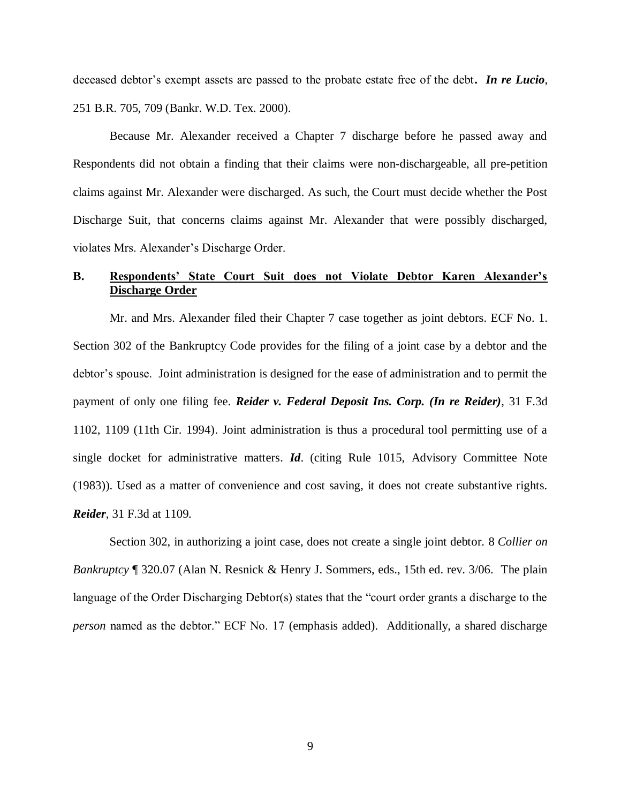deceased debtor's exempt assets are passed to the probate estate free of the debt**.** *In re Lucio*, 251 B.R. 705, 709 (Bankr. W.D. Tex. 2000).

Because Mr. Alexander received a Chapter 7 discharge before he passed away and Respondents did not obtain a finding that their claims were non-dischargeable, all pre-petition claims against Mr. Alexander were discharged. As such, the Court must decide whether the Post Discharge Suit, that concerns claims against Mr. Alexander that were possibly discharged, violates Mrs. Alexander's Discharge Order.

# **B. Respondents' State Court Suit does not Violate Debtor Karen Alexander's Discharge Order**

Mr. and Mrs. Alexander filed their Chapter 7 case together as joint debtors. ECF No. 1. Section 302 of the Bankruptcy Code provides for the filing of a joint case by a debtor and the debtor's spouse. Joint administration is designed for the ease of administration and to permit the payment of only one filing fee. *Reider v. Federal Deposit Ins. Corp. (In re Reider)*, 31 F.3d 1102, 1109 (11th Cir. 1994). Joint administration is thus a procedural tool permitting use of a single docket for administrative matters. *Id*. (citing Rule 1015, Advisory Committee Note (1983)). Used as a matter of convenience and cost saving, it does not create substantive rights. *Reider*, 31 F.3d at 1109.

Section 302, in authorizing a joint case, does not create a single joint debtor. 8 *Collier on Bankruptcy* ¶ 320.07 (Alan N. Resnick & Henry J. Sommers, eds., 15th ed. rev. 3/06. The plain language of the Order Discharging Debtor(s) states that the "court order grants a discharge to the *person* named as the debtor." ECF No. 17 (emphasis added). Additionally, a shared discharge